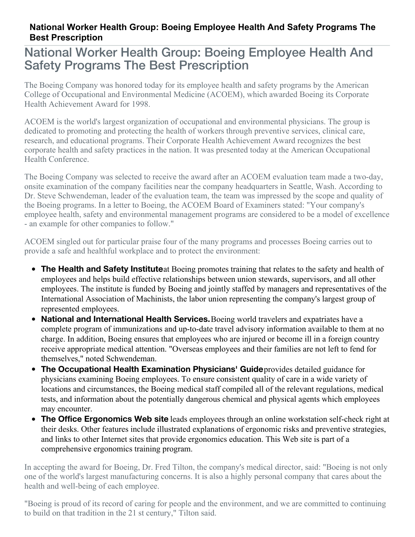## **National Worker Health Group: Boeing Employee Health And Safety Programs The Best Prescription**

## National Worker Health Group: Boeing Employee Health And Safety Programs The Best Prescription

The Boeing Company was honored today for its employee health and safety programs by the American College of Occupational and Environmental Medicine (ACOEM), which awarded Boeing its Corporate Health Achievement Award for 1998.

ACOEM is the world's largest organization of occupational and environmental physicians. The group is dedicated to promoting and protecting the health of workers through preventive services, clinical care, research, and educational programs. Their Corporate Health Achievement Award recognizes the best corporate health and safety practices in the nation. It was presented today at the American Occupational Health Conference.

The Boeing Company was selected to receive the award after an ACOEM evaluation team made a two-day, onsite examination of the company facilities near the company headquarters in Seattle, Wash. According to Dr. Steve Schwendeman, leader of the evaluation team, the team was impressed by the scope and quality of the Boeing programs. In a letter to Boeing, the ACOEM Board of Examiners stated: "Your company's employee health, safety and environmental management programs are considered to be a model of excellence - an example for other companies to follow."

ACOEM singled out for particular praise four of the many programs and processes Boeing carries out to provide a safe and healthful workplace and to protect the environment:

- **The Health and Safety Institute**at Boeing promotes training that relates to the safety and health of employees and helps build effective relationships between union stewards, supervisors, and all other employees. The institute is funded by Boeing and jointly staffed by managers and representatives of the International Association of Machinists, the labor union representing the company's largest group of represented employees.
- **National and International Health Services.**Boeing world travelers and expatriates have a complete program of immunizations and up-to-date travel advisory information available to them at no charge. In addition, Boeing ensures that employees who are injured or become ill in a foreign country receive appropriate medical attention. "Overseas employees and their families are not left to fend for themselves," noted Schwendeman.
- **The Occupational Health Examination Physicians' Guide**provides detailed guidance for physicians examining Boeing employees. To ensure consistent quality of care in a wide variety of locations and circumstances, the Boeing medical staff compiled all of the relevant regulations, medical tests, and information about the potentially dangerous chemical and physical agents which employees may encounter.
- **The Office Ergonomics Web site** leads employees through an online workstation self-check right at their desks. Other features include illustrated explanations of ergonomic risks and preventive strategies, and links to other Internet sites that provide ergonomics education. This Web site is part of a comprehensive ergonomics training program.

In accepting the award for Boeing, Dr. Fred Tilton, the company's medical director, said: "Boeing is not only one of the world's largest manufacturing concerns. It is also a highly personal company that cares about the health and well-being of each employee.

"Boeing is proud of its record of caring for people and the environment, and we are committed to continuing to build on that tradition in the 21 st century," Tilton said.